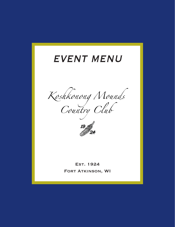# **EVENT MENU**

Koshkonong Nounds



**EST. 1924** FORT ATKINSON, WI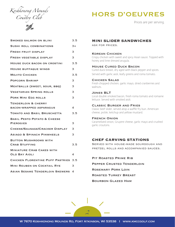

| <b>HORS D'OEUVRES</b> |  |
|-----------------------|--|
|                       |  |

Prices are per serving.

| 3.5                                            |
|------------------------------------------------|
| 3+                                             |
| З                                              |
| З                                              |
| 3.5                                            |
| З                                              |
| 3.5                                            |
| з                                              |
| З                                              |
| З                                              |
| з                                              |
| 4                                              |
| 3.5                                            |
| З                                              |
| З                                              |
| З                                              |
| 3.5                                            |
| 4                                              |
| <b>CHICKEN FLORENTINE PUFF PASTRIES</b><br>3.5 |
| З                                              |
| ASIAN SESAME TENDERLOIN SKEWERS<br>$\Delta$    |
|                                                |

## **MINI SLIDER SANDWICHES** ask for prices.

## Korean Chicken

Crispy chicken with sweet and spicy Asian sauce. Topped with honey and lime dressed arugula.

## House Cured Duck Bacon

Cured duck breast, dry aged with black pepper and spices. Served with garlic aioli, leafy greens and roma tomato.

### Chicken Salad

Fresh chopped chicken, garlic mayo, dried cranberries and walnuts.

### Jones BLT

Local double smoked bacon, fresh roma tomato and romaine lettuce. Served with smoked aioli.

## Classic Burger and Fries

Classic beef slider, served atop a waffle fry bun. American cheese, pickle, ketchup and yellow mustard.

### French Onion

Caramelized onion, Gruyere cheese, garlic mayo and crushed garlic croutons.

## **CHEF CARVING STATIONS**

Served with house-made sourdough and pretzel rolls and accompanied sauces.

- Pit Roasted Prime Rib
- Pepper Crusted Tenderloin
- Rosemary Pork Loin
- Roasted Turkey Breast
- Bourbon Glazed Ham

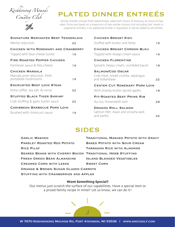

# PLATED DINNER ENTREÉS

Dinner entrées include fresh baked bread, salad with choice of dressing, & choice of two sides. Prices are based on a maximum of two entrée choices (not including kids' meals or vegetarian entrée); if an additional entrée is requested, \$1 will be added to all entrées.

| <b>SIGNATURE MARINATED BEEF TENDERLOIN</b>                                      | <b>CHICKEN BREAST KIEV</b> |                                                                                  |    |
|---------------------------------------------------------------------------------|----------------------------|----------------------------------------------------------------------------------|----|
| Merlot reduction                                                                | 22                         | Stuffed with butter and herbs                                                    | 19 |
| CHICKEN WITH ROSEMARY AND CRANBERRY                                             |                            | <b>CHICKEN BREAST CORDON BLEU</b>                                                |    |
| Topped with blue cheese butter                                                  | 19                         | Topped with Asiago cream sauce                                                   | 19 |
| <b>FIRE ROASTED PEPPER CHICKEN</b>                                              |                            | <b>CHICKEN FLORENTINE</b>                                                        |    |
| Parmesan sauce & feta cheese                                                    | 19                         | Spinach, heavy cream, crumbled bacon                                             | 18 |
| <b>CHICKEN MARSALA</b><br>Marsala wine reduction, fresh<br>portabella mushrooms | 19                         | <b>SALMON/COD OSCAR</b><br>Crab meat, bread crumbs, asparagus<br>and hollandaise | 22 |
| <b>ENCRUSTED BEEF LOIN STEAK</b>                                                |                            | <b>CENTER CUT ROSEMARY PORK LOIN</b>                                             |    |
| Kona coffee, sea salt, & cocoa                                                  | 22                         | With brandy-butter spiced apples                                                 | 18 |
| <b>STUFFED BLACK TIGER SHRIMP</b>                                               |                            | PIT-ROASTED BEEF PRIME RIB                                                       |    |
| Crab Stuffing & garlic butter sauce                                             | 22                         | Au-Jus, horseradish aioli                                                        | 28 |
| <b>CARIBBEAN BARBECUE PORK LOIN</b><br>Brushed with chimicurri sauce            | 19                         | <b>DRAGON ROLL SALMON</b><br>Salmon filet, Asian and sriracha aioli<br>and panko | 22 |

## SIDES

| <b>GARLIC MASHED</b>                                            | <b>TRADITIONAL MASHED POTATO WITH GRAVY</b> |  |  |  |
|-----------------------------------------------------------------|---------------------------------------------|--|--|--|
| <b>PARSLEY ROASTED RED POTATO</b>                               | <b>BAKED POTATO WITH SOUR CREAM</b>         |  |  |  |
| <b>RICE PILAF</b>                                               | <b>TARRAGON RICE WITH ALMONDS</b>           |  |  |  |
| <b>SEARED BEANS WITH CHERRY BACON TRADITIONAL HERB STUFFING</b> |                                             |  |  |  |
| <b>FRESH GREEN BEAN ALMANDINE</b>                               | <b>ISLAND BLENDED VEGETABLES</b>            |  |  |  |
| <b>CREAMED CORN WITH LEEKS</b>                                  | <b>SWEET CORN</b>                           |  |  |  |
| <b>ORANGE &amp; BROWN SUGAR GLAZED CARROTS</b>                  |                                             |  |  |  |
| <b>STUFFING WITH CRANBERRIES AND APPLES</b>                     |                                             |  |  |  |

## Want Something Special?

Our menus just scratch the surface of our capabilities. Have a special item or a prized family recipe in mind? Let us know, we can do it!

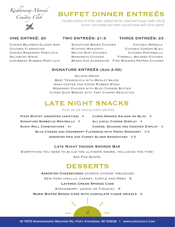

# BUFFET DINNER ENTREÉS

Includes choice of three sides, plated dinner salad and house made rolls & butter. Kids meals and other special meals will come plated.

## ONE ENTREÉ: 20 TWO ENTREÉS: 21.5 THREE ENTREÉS: 23

Carved Bourbon Glazed Ham Signature Baked Chicken Chicken Marsala Chicken Florentine Stuffed Manicotti Chicken Cordon Bleu Carved Rosemary Pork Loin Mojito Mint Chicken Chicken Portabella Salisbury Steak Margarita Chicken Fireball Whiskey Chicken Caribbean Rubbed Pork Loin Baked Cod Almondine Fire Roasted Pepper Chicken

## SIGNATURE ENTREÉS (Add 2.00)

Salmon Oscar Beef Tenderloin with Merlot Sauce

Kona Coffee and Cocoa Rubbed Steak Rosemary Chicken with Bleu Cheese Butter Cured Duck Breast with Tart Cherry Reduction

# LATE NIGHT SNACKS

Prices are per serving unless specified.

Pizza Buffet (assorted varieties) 4 Cured Smoked Salmon on Blini 4

Signature Barbecue Meatballs 3 All Local Cheese Display 4

- 
- Sushi Roll Combinations 3+ Cheese, Sausage and Cracker Display 3

Blue Cheese and Cranberry Flatbread with Fresh Rosemary 3.5

Assorted Ham and Turkey Slider Sandwiches 3.5

## Late Night Indoor Smores Bar

Everything you need to build the ultimate smore, including the fire! ASK FOR QUOTE.

## DESSERTS

Assorted Cheesecakes (guests choose tableside)

New York vanilla, cherry, turtle and Oreo 5

## Layered Cream Sponge Cake

Strawberry, Lemon or Tiramisu 5

WARM BISTRO SPOON CAKE WITH CHOCOLATE FUDGE DRIZZLE 6

*4*